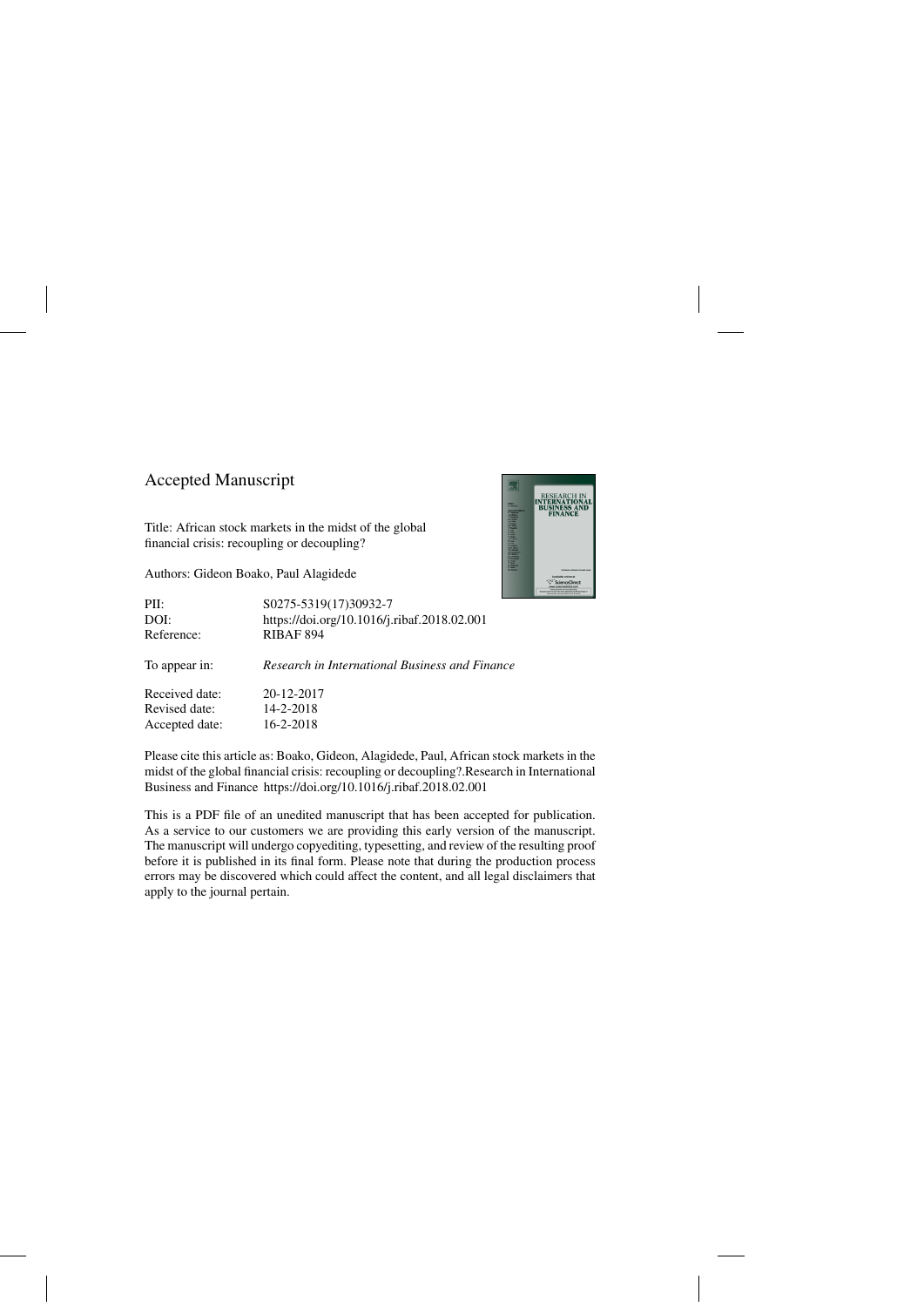## Accepted Manuscript

Title: African stock markets in the midst of the global financial crisis: recoupling or decoupling?

Authors: Gideon Boako, Paul Alagidede



| PII:           | S0275-5319(17)30932-7                          |
|----------------|------------------------------------------------|
| DOI:           | https://doi.org/10.1016/j.ribaf.2018.02.001    |
| Reference:     | <b>RIBAF 894</b>                               |
| To appear in:  | Research in International Business and Finance |
| Received date: | 20-12-2017                                     |
| Revised date:  | 14-2-2018                                      |
| Accepted date: | $16 - 2 - 2018$                                |

Please cite this article as: Boako, Gideon, Alagidede, Paul, African stock markets in the midst of the global financial crisis: recoupling or decoupling?.Research in International Business and Finance<https://doi.org/10.1016/j.ribaf.2018.02.001>

This is a PDF file of an unedited manuscript that has been accepted for publication. As a service to our customers we are providing this early version of the manuscript. The manuscript will undergo copyediting, typesetting, and review of the resulting proof before it is published in its final form. Please note that during the production process errors may be discovered which could affect the content, and all legal disclaimers that apply to the journal pertain.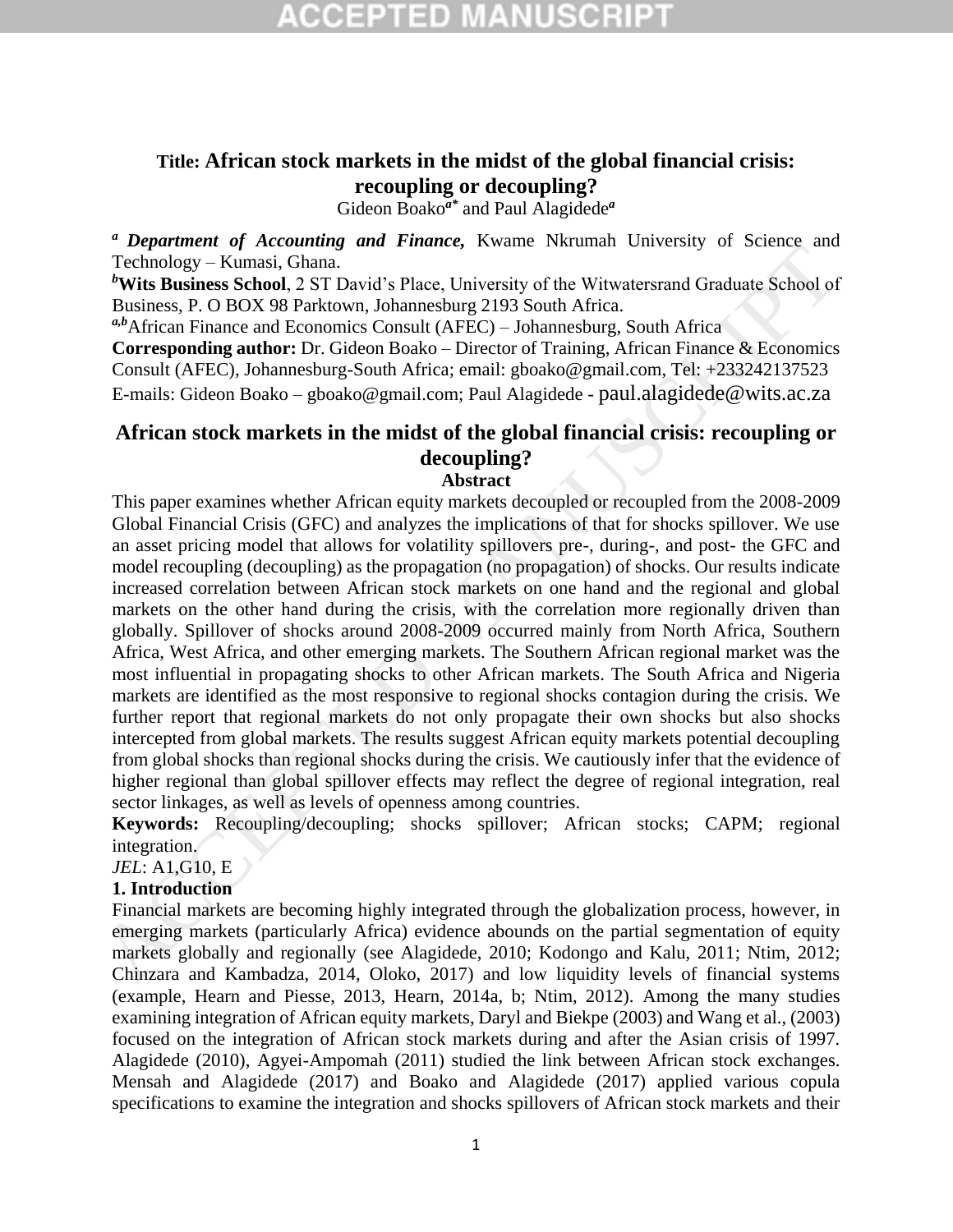### **Title: African stock markets in the midst of the global financial crisis: recoupling or decoupling?**

Gideon Boako*a\** and Paul Alagidede*<sup>a</sup>*

*<sup>a</sup>Department of Accounting and Finance,* Kwame Nkrumah University of Science and Technology – Kumasi, Ghana.

*<sup>b</sup>***Wits Business School**, 2 ST David's Place, University of the Witwatersrand Graduate School of Business, P. O BOX 98 Parktown, Johannesburg 2193 South Africa.

*a,b*African Finance and Economics Consult (AFEC) – Johannesburg, South Africa

**Corresponding author:** Dr. Gideon Boako – Director of Training, African Finance & Economics Consult (AFEC), Johannesburg-South Africa; email: gboako@gmail.com, Tel: +233242137523 E-mails: Gideon Boako – gboako@gmail.com; Paul Alagidede - paul.alagidede@wits.ac.za

## **African stock markets in the midst of the global financial crisis: recoupling or decoupling?**

#### **Abstract**

This paper examines whether African equity markets decoupled or recoupled from the 2008-2009 Global Financial Crisis (GFC) and analyzes the implications of that for shocks spillover. We use an asset pricing model that allows for volatility spillovers pre-, during-, and post- the GFC and model recoupling (decoupling) as the propagation (no propagation) of shocks. Our results indicate increased correlation between African stock markets on one hand and the regional and global markets on the other hand during the crisis, with the correlation more regionally driven than globally. Spillover of shocks around 2008-2009 occurred mainly from North Africa, Southern Africa, West Africa, and other emerging markets. The Southern African regional market was the most influential in propagating shocks to other African markets. The South Africa and Nigeria markets are identified as the most responsive to regional shocks contagion during the crisis. We further report that regional markets do not only propagate their own shocks but also shocks intercepted from global markets. The results suggest African equity markets potential decoupling from global shocks than regional shocks during the crisis. We cautiously infer that the evidence of higher regional than global spillover effects may reflect the degree of regional integration, real sector linkages, as well as levels of openness among countries. Trephroman of Section and Contact Transfer Contact Trephroman Conversary of Section Technology – Kunnai. The Window Head Property of the Winvarterstand Graduate School of Ministers School of 25 David's Place, Universal Bus

**Keywords:** Recoupling/decoupling; shocks spillover; African stocks; CAPM; regional integration.

*JEL*: A1,G10, E

#### **1. Introduction**

Financial markets are becoming highly integrated through the globalization process, however, in emerging markets (particularly Africa) evidence abounds on the partial segmentation of equity markets globally and regionally (see Alagidede, 2010; Kodongo and Kalu, 2011; Ntim, 2012; Chinzara and Kambadza, 2014, Oloko, 2017) and low liquidity levels of financial systems (example, Hearn and Piesse, 2013, Hearn, 2014a, b; Ntim, 2012). Among the many studies examining integration of African equity markets, Daryl and Biekpe (2003) and Wang et al., (2003) focused on the integration of African stock markets during and after the Asian crisis of 1997. Alagidede (2010), Agyei-Ampomah (2011) studied the link between African stock exchanges. Mensah and Alagidede (2017) and Boako and Alagidede (2017) applied various copula specifications to examine the integration and shocks spillovers of African stock markets and their